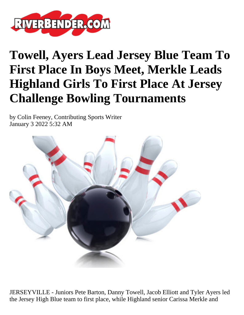

## **Towell, Ayers Lead Jersey Blue Team To First Place In Boys Meet, Merkle Leads Highland Girls To First Place At Jersey Challenge Bowling Tournaments**

by Colin Feeney, Contributing Sports Writer January 3 2022 5:32 AM



JERSEYVILLE - Juniors Pete Barton, Danny Towell, Jacob Elliott and Tyler Ayers led the Jersey High Blue team to first place, while Highland senior Carissa Merkle and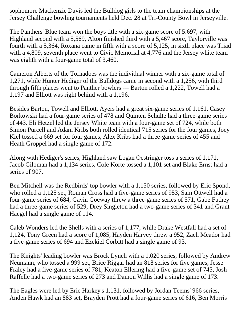sophomore Mackenzie Davis led the Bulldog girls to the team championships at the Jersey Challenge bowling tournaments held Dec. 28 at Tri-County Bowl in Jerseyville.

The Panthers' Blue team won the boys title with a six-game score of 5.697, with Highland second with a 5,569, Alton finished third with a 5,467 score, Taylorville was fourth with a 5,364, Roxana came in fifth with a score of 5,125, in sixth place was Triad with a 4,809, seventh place went to Civic Memorial at 4,776 and the Jersey white team was eighth with a four-game total of 3,460.

Cameron Alberts of the Tornadoes was the individual winner with a six-game total of 1,271, while Hunter Hediger of the Bulldogs came in second with a 1,256, with third through fifth places went to Panther bowlers --- Barton rolled a 1,222, Towell had a 1,197 and Elliott was right behind with a 1,196.

Besides Barton, Towell and Elliott, Ayers had a great six-game series of 1.161. Casey Borkowski had a four-game series of 478 and Quinten Schulte had a three-game series of 443. Eli Hetzel led the Jersey White team with a four-game set of 724, while both Simon Purcell and Adam Kribs both rolled identical 715 series for the four games, Joey Kiel tossed a 669 set for four games, Alex Kribs had a three-game series of 455 and Heath Groppel had a single game of 172.

Along with Hediger's series, Highland saw Logan Oestringer toss a series of 1,171, Jacob Giloman had a 1,134 series, Cole Korte tossed a 1,101 set and Blake Ernst had a series of 907.

Ben Mitchell was the Redbirds' top bowler with a 1,150 series, followed by Eric Spond, who rolled a 1,125 set, Roman Cross had a five-game series of 953, Sam Ottwell had a four-game series of 684, Gavin Goeway threw a three-game series of 571, Gabe Futhey had a three-game series of 529, Drey Singleton had a two-game series of 341 and Grant Haegel had a single game of 114.

Caleb Wonders led the Shells with a series of 1,177, while Drake Westfall had a set of 1,124, Tony Green had a score of 1,085, Hayden Harvey threw a 952, Zach Meador had a five-game series of 694 and Ezekiel Corbitt had a single game of 93.

The Knights' leading bowler was Brock Lynch with a 1.020 series, followed by Andrew Neumann, who tossed a 999 set, Brice Riggar had an 818 series for five games, Jesse Fraley had a five-game series of 781, Keaton Ellering had a five-game set of 745, Josh Raffelle had a two-game series of 273 and Damon Willis had a single game of 173.

The Eagles were led by Eric Harkey's 1,131, followed by Jordan Teems' 966 series, Anden Hawk had an 883 set, Brayden Prott had a four-game series of 616, Ben Morris